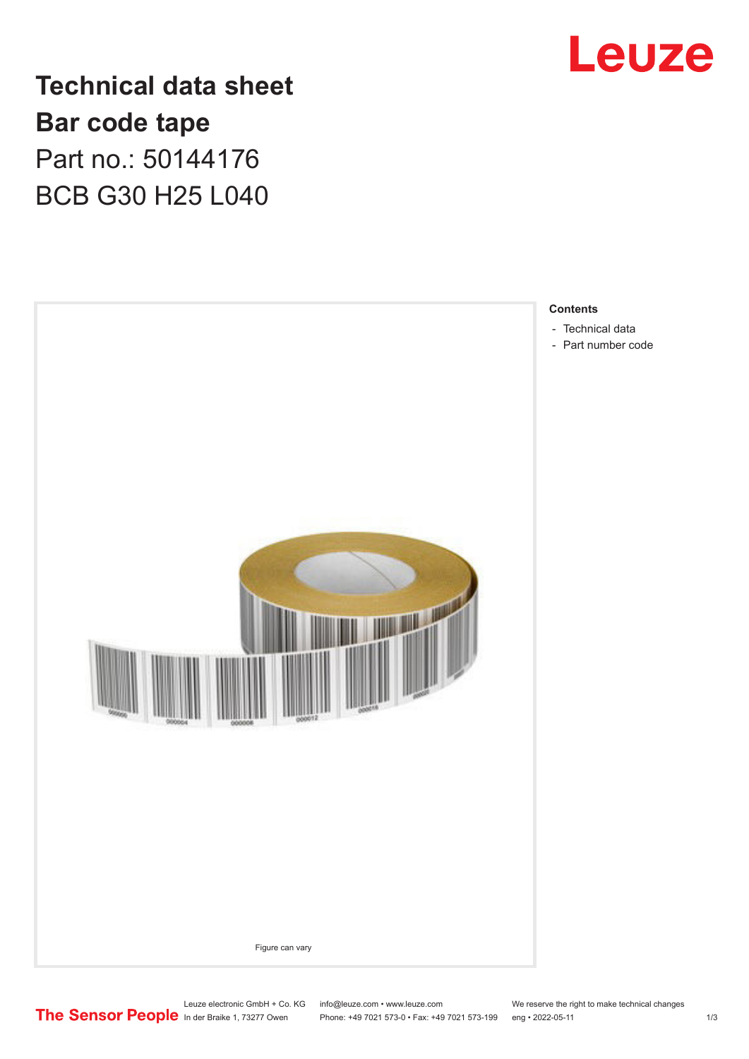

**Technical data sheet Bar code tape** Part no.: 50144176 BCB G30 H25 L040



Leuze electronic GmbH + Co. KG info@leuze.com • www.leuze.com We reserve the right to make technical changes<br>
The Sensor People in der Braike 1, 73277 Owen Phone: +49 7021 573-0 • Fax: +49 7021 573-199 eng • 2022-05-11

Phone: +49 7021 573-0 • Fax: +49 7021 573-199 eng • 2022-05-11 1 2022-05-11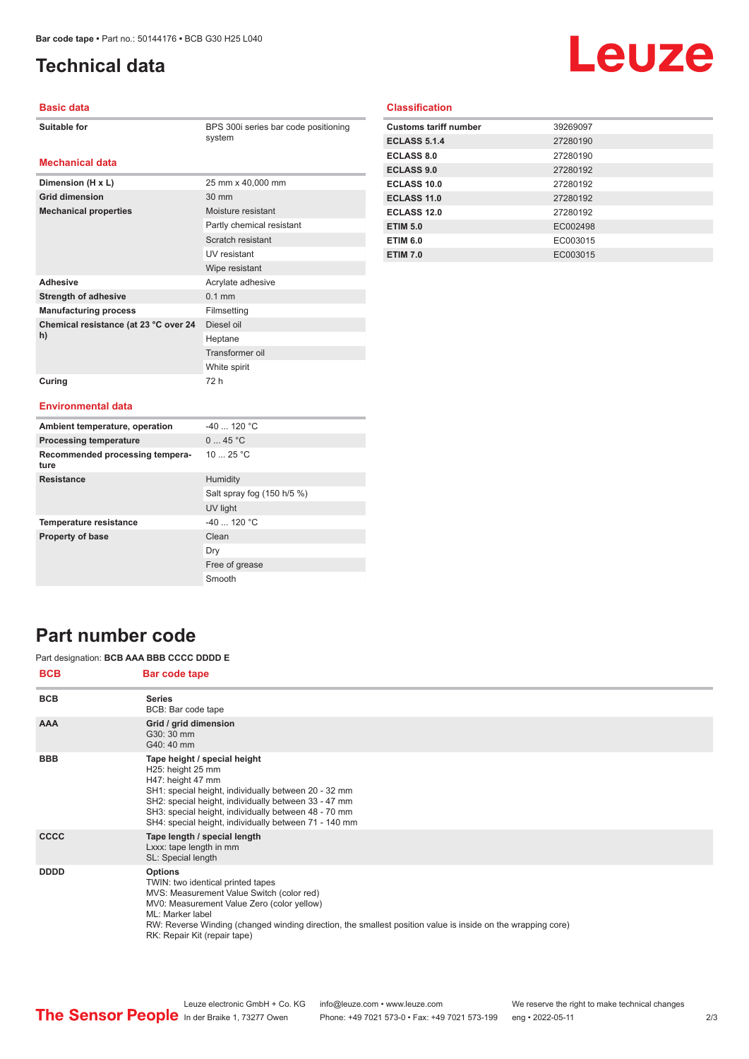**Dimension (H x L)** 25 mm x 40,000 mm

**Mechanical properties** Moisture resistant

Adhesive **Adhesive** Acrylate adhesive **Strength of adhesive** 0.1 mm **Manufacturing process** Filmsetting

**Grid dimension** 30 mm

**Chemical resistance (at 23 °C over 24** 

**Curing** 72 h

# <span id="page-1-0"></span>**Technical data**

# Leuze

### **Basic data**

**Mechanical data**

BPS 300i series bar code positioning system

Partly chemical resistant Scratch resistant UV resistant Wipe resistant

Diesel oil Heptane Transformer oil White spirit

## **Classification**

| <b>Customs tariff number</b> | 39269097 |
|------------------------------|----------|
| <b>ECLASS 5.1.4</b>          | 27280190 |
| ECLASS 8.0                   | 27280190 |
| <b>ECLASS 9.0</b>            | 27280192 |
| <b>ECLASS 10.0</b>           | 27280192 |
| ECLASS 11.0                  | 27280192 |
| ECLASS 12.0                  | 27280192 |
| <b>ETIM 5.0</b>              | EC002498 |
| <b>ETIM 6.0</b>              | EC003015 |
| <b>ETIM 7.0</b>              | EC003015 |

#### **Environmental data**

**h)**

| Ambient temperature, operation          | $-40$ 120 °C               |
|-----------------------------------------|----------------------------|
| <b>Processing temperature</b>           | 045 °C                     |
| Recommended processing tempera-<br>ture | 1025 °C                    |
| <b>Resistance</b>                       | Humidity                   |
|                                         | Salt spray fog (150 h/5 %) |
|                                         | UV light                   |
| <b>Temperature resistance</b>           | $-40$ 120 °C               |
| <b>Property of base</b>                 | Clean                      |
|                                         | Dry                        |
|                                         | Free of grease             |
|                                         | Smooth                     |

## **Part number code**

#### Part designation: **BCB AAA BBB CCCC DDDD E**

| <b>BCB</b>  | Bar code tape                                                                                                                                                                                                                                                                                                     |
|-------------|-------------------------------------------------------------------------------------------------------------------------------------------------------------------------------------------------------------------------------------------------------------------------------------------------------------------|
| <b>BCB</b>  | <b>Series</b><br>BCB: Bar code tape                                                                                                                                                                                                                                                                               |
| <b>AAA</b>  | Grid / grid dimension<br>G30: 30 mm<br>G40: 40 mm                                                                                                                                                                                                                                                                 |
| <b>BBB</b>  | Tape height / special height<br>H25: height 25 mm<br>H47: height 47 mm<br>SH1: special height, individually between 20 - 32 mm<br>SH2: special height, individually between 33 - 47 mm<br>SH3: special height, individually between 48 - 70 mm<br>SH4: special height, individually between 71 - 140 mm           |
| <b>CCCC</b> | Tape length / special length<br>Lxxx: tape length in mm<br>SL: Special length                                                                                                                                                                                                                                     |
| <b>DDDD</b> | <b>Options</b><br>TWIN: two identical printed tapes<br>MVS: Measurement Value Switch (color red)<br>MV0: Measurement Value Zero (color yellow)<br>ML: Marker label<br>RW: Reverse Winding (changed winding direction, the smallest position value is inside on the wrapping core)<br>RK: Repair Kit (repair tape) |